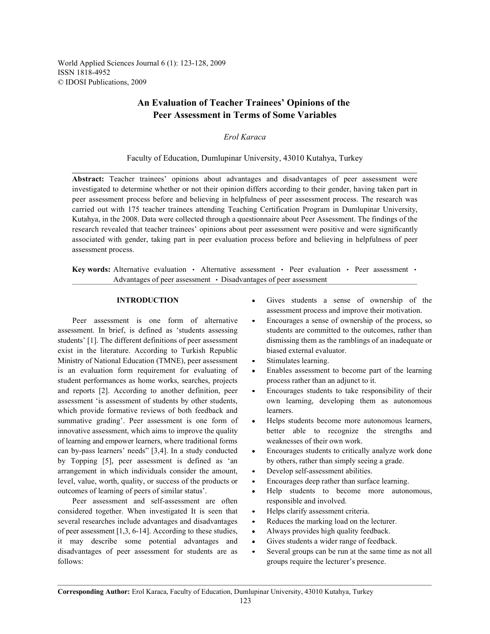World Applied Sciences Journal 6 (1): 123-128, 2009 ISSN 1818-4952 © IDOSI Publications, 2009

# **An Evaluation of Teacher Trainees' Opinions of the Peer Assessment in Terms of Some Variables**

*Erol Karaca*

## Faculty of Education, Dumlupinar University, 43010 Kutahya, Turkey

**Abstract:** Teacher trainees' opinions about advantages and disadvantages of peer assessment were investigated to determine whether or not their opinion differs according to their gender, having taken part in peer assessment process before and believing in helpfulness of peer assessment process. The research was carried out with 175 teacher trainees attending Teaching Certification Program in Dumlupinar University, Kutahya, in the 2008. Data were collected through a questionnaire about Peer Assessment. The findings of the research revealed that teacher trainees' opinions about peer assessment were positive and were significantly associated with gender, taking part in peer evaluation process before and believing in helpfulness of peer assessment process.

**Key words:** Alternative evaluation • Alternative assessment • Peer evaluation • Peer assessment • Advantages of peer assessment • Disadvantages of peer assessment

assessment. In brief, is defined as 'students assessing students are committed to the outcomes, rather than students' [1]. The different definitions of peer assessment dismissing them as the ramblings of an inadequate or exist in the literature. According to Turkish Republic biased external evaluator. Ministry of National Education (TMNE), peer assessment • Stimulates learning. is an evaluation form requirement for evaluating of  $\bullet$  Enables assessment to become part of the learning student performances as home works, searches, projects process rather than an adjunct to it. and reports [2]. According to another definition, peer • Encourages students to take responsibility of their assessment 'is assessment of students by other students, own learning, developing them as autonomous which provide formative reviews of both feedback and learners. summative grading'. Peer assessment is one form of  $\bullet$  Helps students become more autonomous learners, innovative assessment, which aims to improve the quality better able to recognize the strengths and of learning and empower learners, where traditional forms weaknesses of their own work. can by-pass learners' needs" [3,4]. In a study conducted • Encourages students to critically analyze work done by Topping [5], peer assessment is defined as 'an by others, rather than simply seeing a grade. arrangement in which individuals consider the amount, • Develop self-assessment abilities. level, value, worth, quality, or success of the products or  $\bullet$  Encourages deep rather than surface learning. outcomes of learning of peers of similar status'. <br>
• Help students to become more autonomous,

Peer assessment and self-assessment are often responsible and involved. considered together. When investigated It is seen that • Helps clarify assessment criteria. several researches include advantages and disadvantages • Reduces the marking load on the lecturer. of peer assessment [1,3, 6-14]. According to these studies, Always provides high quality feedback. it may describe some potential advantages and • Gives students a wider range of feedback. disadvantages of peer assessment for students are as • Several groups can be run at the same time as not all follows: groups require the lecturer's presence.

- **INTRODUCTION** Gives students a sense of ownership of the assessment process and improve their motivation.
- Peer assessment is one form of alternative Encourages a sense of ownership of the process, so
	-
	-
	-
	-
	-
	-
	-
	-
	-
	-
	-
	-
	-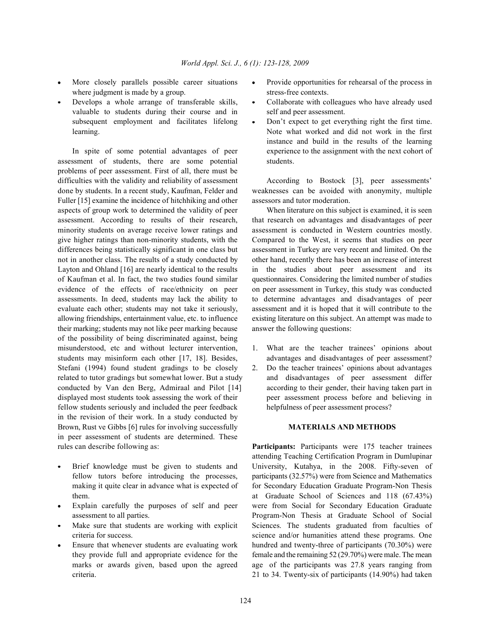- where judgment is made by a group. stress-free contexts.
- valuable to students during their course and in self and peer assessment. subsequent employment and facilitates lifelong • Don't expect to get everything right the first time.

assessment of students, there are some potential students. problems of peer assessment. First of all, there must be difficulties with the validity and reliability of assessment According to Bostock [3], peer assessments' done by students. In a recent study, Kaufman, Felder and weaknesses can be avoided with anonymity, multiple Fuller [15] examine the incidence of hitchhiking and other assessors and tutor moderation. aspects of group work to determined the validity of peer When literature on this subject is examined, it is seen assessment. According to results of their research, that research on advantages and disadvantages of peer minority students on average receive lower ratings and assessment is conducted in Western countries mostly. give higher ratings than non-minority students, with the Compared to the West, it seems that studies on peer differences being statistically significant in one class but assessment in Turkey are very recent and limited. On the not in another class. The results of a study conducted by other hand, recently there has been an increase of interest Layton and Ohland [16] are nearly identical to the results in the studies about peer assessment and its of Kaufman et al. In fact, the two studies found similar questionnaires. Considering the limited number of studies evidence of the effects of race/ethnicity on peer on peer assessment in Turkey, this study was conducted assessments. In deed, students may lack the ability to to determine advantages and disadvantages of peer evaluate each other; students may not take it seriously, assessment and it is hoped that it will contribute to the allowing friendships, entertainment value, etc. to influence existing literature on this subject. An attempt was made to their marking; students may not like peer marking because answer the following questions: of the possibility of being discriminated against, being misunderstood, etc and without lecturer intervention, 1. What are the teacher trainees' opinions about students may misinform each other [17, 18]. Besides, advantages and disadvantages of peer assessment? Stefani (1994) found student gradings to be closely 2. Do the teacher trainees' opinions about advantages related to tutor gradings but somewhat lower. But a study and disadvantages of peer assessment differ conducted by Van den Berg, Admiraal and Pilot [14] according to their gender, their having taken part in displayed most students took assessing the work of their peer assessment process before and believing in fellow students seriously and included the peer feedback helpfulness of peer assessment process? in the revision of their work. In a study conducted by Brown, Rust ve Gibbs [6] rules for involving successfully **MATERIALS AND METHODS** in peer assessment of students are determined. These rules can describe following as: **Participants:** Participants were 175 teacher trainees

- 
- 
- 
- 
- More closely parallels possible career situations Provide opportunities for rehearsal of the process in
- Develops a whole arrange of transferable skills, Collaborate with colleagues who have already used
- learning. Note what worked and did not work in the first In spite of some potential advantages of peer experience to the assignment with the next cohort of instance and build in the results of the learning

- 
- 

Brief knowledge must be given to students and University, Kutahya, in the 2008. Fifty-seven of fellow tutors before introducing the processes, participants (32.57%) were from Science and Mathematics making it quite clear in advance what is expected of for Secondary Education Graduate Program-Non Thesis them. at Graduate School of Sciences and 118 (67.43%) Explain carefully the purposes of self and peer were from Social for Secondary Education Graduate assessment to all parties. Program-Non Thesis at Graduate School of Social Make sure that students are working with explicit Sciences. The students graduated from faculties of criteria for success. science and/or humanities attend these programs. One Ensure that whenever students are evaluating work hundred and twenty-three of participants (70.30%) were they provide full and appropriate evidence for the female and the remaining 52 (29.70%) were male. The mean marks or awards given, based upon the agreed age of the participants was 27.8 years ranging from criteria. 21 to 34. Twenty-six of participants (14.90%) had taken attending Teaching Certification Program in Dumlupinar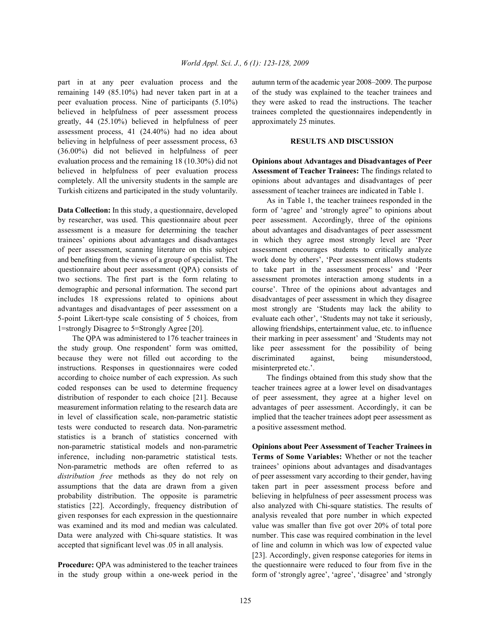remaining 149 (85.10%) had never taken part in at a of the study was explained to the teacher trainees and peer evaluation process. Nine of participants (5.10%) they were asked to read the instructions. The teacher believed in helpfulness of peer assessment process trainees completed the questionnaires independently in greatly, 44 (25.10%) believed in helpfulness of peer approximately 25 minutes. assessment process, 41 (24.40%) had no idea about believing in helpfulness of peer assessment process, 63 **RESULTS AND DISCUSSION** (36.00%) did not believed in helpfulness of peer evaluation process and the remaining 18 (10.30%) did not **Opinions about Advantages and Disadvantages of Peer** believed in helpfulness of peer evaluation process **Assessment of Teacher Trainees:** The findings related to completely. All the university students in the sample are opinions about advantages and disadvantages of peer Turkish citizens and participated in the study voluntarily. assessment of teacher trainees are indicated in Table 1.

by researcher, was used. This questionnaire about peer peer assessment. Accordingly, three of the opinions assessment is a measure for determining the teacher about advantages and disadvantages of peer assessment trainees' opinions about advantages and disadvantages in which they agree most strongly level are 'Peer of peer assessment, scanning literature on this subject assessment encourages students to critically analyze and benefiting from the views of a group of specialist. The work done by others', 'Peer assessment allows students questionnaire about peer assessment (QPA) consists of to take part in the assessment process' and 'Peer two sections. The first part is the form relating to assessment promotes interaction among students in a demographic and personal information. The second part course'. Three of the opinions about advantages and includes 18 expressions related to opinions about disadvantages of peer assessment in which they disagree advantages and disadvantages of peer assessment on a most strongly are 'Students may lack the ability to 5-point Likert-type scale consisting of 5 choices, from evaluate each other', 'Students may not take it seriously, 1=strongly Disagree to 5=Strongly Agree [20]. allowing friendships, entertainment value, etc. to influence

the study group. One respondent' form was omitted, like peer assessment for the possibility of being because they were not filled out according to the discriminated against, being misunderstood, instructions. Responses in questionnaires were coded misinterpreted etc.'. according to choice number of each expression. As such The findings obtained from this study show that the coded responses can be used to determine frequency teacher trainees agree at a lower level on disadvantages distribution of responder to each choice [21]. Because of peer assessment, they agree at a higher level on measurement information relating to the research data are advantages of peer assessment. Accordingly, it can be in level of classification scale, non-parametric statistic implied that the teacher trainees adopt peer assessment as tests were conducted to research data. Non-parametric a positive assessment method. statistics is a branch of statistics concerned with non-parametric statistical models and non-parametric **Opinions about Peer Assessment of Teacher Trainees in** inference, including non-parametric statistical tests. **Terms of Some Variables:** Whether or not the teacher Non-parametric methods are often referred to as trainees' opinions about advantages and disadvantages *distribution free* methods as they do not rely on of peer assessment vary according to their gender, having assumptions that the data are drawn from a given taken part in peer assessment process before and probability distribution. The opposite is parametric believing in helpfulness of peer assessment process was statistics [22]. Accordingly, frequency distribution of also analyzed with Chi-square statistics. The results of given responses for each expression in the questionnaire analysis revealed that pore number in which expected was examined and its mod and median was calculated. value was smaller than five got over 20% of total pore Data were analyzed with Chi-square statistics. It was number. This case was required combination in the level accepted that significant level was .05 in all analysis. of line and column in which was low of expected value

in the study group within a one-week period in the form of 'strongly agree', 'agree', 'disagree' and 'strongly

part in at any peer evaluation process and the autumn term of the academic year 2008–2009. The purpose

**Data Collection:** In this study, a questionnaire, developed form of 'agree' and 'strongly agree'' to opinions about The QPA was administered to 176 teacher trainees in their marking in peer assessment' and 'Students may not As in Table 1, the teacher trainees responded in the

**Procedure:** QPA was administered to the teacher trainees the questionnaire were reduced to four from five in the [23]. Accordingly, given response categories for items in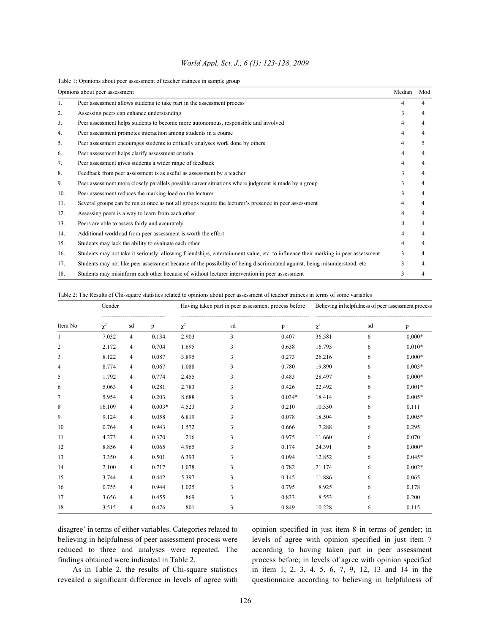| World Appl. Sci. J., 6 (1): 123-128, 2009 |  |  |
|-------------------------------------------|--|--|
|                                           |  |  |

Table 1: Opinions about peer assessment of teacher trainees in sample group

|     | Opinions about peer assessment                                                                                                    | Median | Mod |
|-----|-----------------------------------------------------------------------------------------------------------------------------------|--------|-----|
| 1.  | Peer assessment allows students to take part in the assessment process                                                            |        |     |
| 2.  | Assessing peers can enhance understanding                                                                                         |        |     |
| 3.  | Peer assessment helps students to become more autonomous, responsible and involved                                                |        |     |
| 4.  | Peer assessment promotes interaction among students in a course                                                                   |        | 4   |
| 5.  | Peer assessment encourages students to critically analyses work done by others                                                    |        | 5   |
| 6.  | Peer assessment helps clarify assessment criteria                                                                                 |        |     |
| 7.  | Peer assessment gives students a wider range of feedback                                                                          |        |     |
| 8.  | Feedback from peer assessment is as useful as assessment by a teacher                                                             | 3      | 4   |
| 9.  | Peer assessment more closely parallels possible career situations where judgment is made by a group                               | 3      | 4   |
| 10. | Peer assessment reduces the marking load on the lecturer                                                                          | 3      | 4   |
| 11. | Several groups can be run at once as not all groups require the lecturer's presence in peer assessment                            | 4      | 4   |
| 12. | Assessing peers is a way to learn from each other                                                                                 | 4      | 4   |
| 13. | Peers are able to assess fairly and accurately                                                                                    | 4      | 4   |
| 14. | Additional workload from peer assessment is worth the effort                                                                      |        | 4   |
| 15. | Students may lack the ability to evaluate each other                                                                              | 4      | 4   |
| 16. | Students may not take it seriously, allowing friendships, entertainment value, etc. to influence their marking in peer assessment | 3      | 4   |
| 17. | Students may not like peer assessment because of the possibility of being discriminated against, being misunderstood, etc.        | 3      | 4   |
| 18. | Students may misinform each other because of without lecturer intervention in peer assessment                                     |        |     |

Table 2: The Results of Chi-square statistics related to opinions about peer assessment of teacher trainees in terms of some variables

|                | Gender   |                |          | Having taken part in peer assessment process before |    |          | Believing in helpfulness of peer assessment process |    |          |
|----------------|----------|----------------|----------|-----------------------------------------------------|----|----------|-----------------------------------------------------|----|----------|
| Item No        | $\chi^2$ | sd             | p        | $\chi^2$                                            | sd | p        | $\chi^2$                                            | sd | p        |
|                | 7.032    | $\overline{4}$ | 0.134    | 2.903                                               | 3  | 0.407    | 36.581                                              | 6  | $0.000*$ |
| $\overline{2}$ | 2.172    | $\overline{4}$ | 0.704    | 1.695                                               | 3  | 0.638    | 16.795                                              | 6  | $0.010*$ |
| 3              | 8.122    | $\overline{4}$ | 0.087    | 3.895                                               | 3  | 0.273    | 26.216                                              | 6  | $0.000*$ |
| $\overline{4}$ | 8.774    | $\overline{4}$ | 0.067    | 1.088                                               | 3  | 0.780    | 19.890                                              | 6  | $0.003*$ |
| 5              | 1.792    | $\overline{4}$ | 0.774    | 2.455                                               | 3  | 0.483    | 28.497                                              | 6  | $0.000*$ |
| 6              | 5.063    | $\overline{4}$ | 0.281    | 2.783                                               | 3  | 0.426    | 22.492                                              | 6  | $0.001*$ |
| 7              | 5.954    | $\overline{4}$ | 0.203    | 8.688                                               | 3  | $0.034*$ | 18.414                                              | 6  | $0.005*$ |
| 8              | 16.109   | $\overline{4}$ | $0.003*$ | 4.523                                               | 3  | 0.210    | 10.350                                              | 6  | 0.111    |
| 9              | 9.124    | $\overline{4}$ | 0.058    | 6.819                                               | 3  | 0.078    | 18.504                                              | 6  | $0.005*$ |
| 10             | 0.764    | $\overline{4}$ | 0.943    | 1.572                                               | 3  | 0.666    | 7.288                                               | 6  | 0.295    |
| 11             | 4.273    | $\overline{4}$ | 0.370    | .216                                                | 3  | 0.975    | 11.660                                              | 6  | 0.070    |
| 12             | 8.856    | $\overline{4}$ | 0.065    | 4.965                                               | 3  | 0.174    | 24.391                                              | 6  | $0.000*$ |
| 13             | 3.350    | $\overline{4}$ | 0.501    | 6.393                                               | 3  | 0.094    | 12.852                                              | 6  | $0.045*$ |
| 14             | 2.100    | $\overline{4}$ | 0.717    | 1.078                                               | 3  | 0.782    | 21.174                                              | 6  | $0.002*$ |
| 15             | 3.744    | $\overline{4}$ | 0.442    | 5.397                                               | 3  | 0.145    | 11.886                                              | 6  | 0.065    |
| 16             | 0.755    | 4              | 0.944    | 1.025                                               | 3  | 0.795    | 8.925                                               | 6  | 0.178    |
| 17             | 3.656    | $\overline{4}$ | 0.455    | .869                                                | 3  | 0.833    | 8.553                                               | 6  | 0.200    |
| 18             | 3.515    | 4              | 0.476    | .801                                                | 3  | 0.849    | 10.228                                              | 6  | 0.115    |

disagree' in terms of either variables. Categories related to opinion specified in just item 8 in terms of gender; in believing in helpfulness of peer assessment process were levels of agree with opinion specified in just item 7 reduced to three and analyses were repeated. The according to having taken part in peer assessment findings obtained were indicated in Table 2. process before; in levels of agree with opinion specified As in Table 2, the results of Chi-square statistics in item 1, 2, 3, 4, 5, 6, 7, 9, 12, 13 and 14 in the revealed a significant difference in levels of agree with questionnaire according to believing in helpfulness of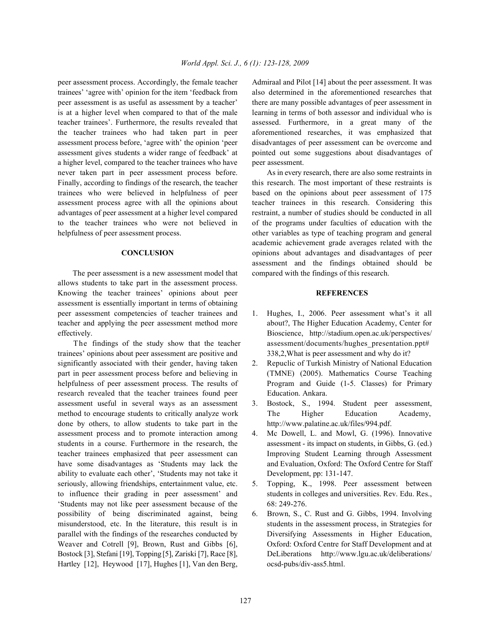trainees' 'agree with' opinion for the item 'feedback from also determined in the aforementioned researches that peer assessment is as useful as assessment by a teacher' there are many possible advantages of peer assessment in is at a higher level when compared to that of the male learning in terms of both assessor and individual who is teacher trainees'. Furthermore, the results revealed that assessed. Furthermore, in a great many of the the teacher trainees who had taken part in peer aforementioned researches, it was emphasized that assessment process before, 'agree with' the opinion 'peer disadvantages of peer assessment can be overcome and assessment gives students a wider range of feedback' at pointed out some suggestions about disadvantages of a higher level, compared to the teacher trainees who have peer assessment. never taken part in peer assessment process before. As in every research, there are also some restraints in Finally, according to findings of the research, the teacher this research. The most important of these restraints is trainees who were believed in helpfulness of peer based on the opinions about peer assessment of 175 assessment process agree with all the opinions about teacher trainees in this research. Considering this advantages of peer assessment at a higher level compared restraint, a number of studies should be conducted in all to the teacher trainees who were not believed in of the programs under faculties of education with the helpfulness of peer assessment process.  $\blacksquare$  other variables as type of teaching program and general

The peer assessment is a new assessment model that compared with the findings of this research. allows students to take part in the assessment process. Knowing the teacher trainees' opinions about peer **REFERENCES** assessment is essentially important in terms of obtaining peer assessment competencies of teacher trainees and 1. Hughes, I., 2006. Peer assessment what's it all teacher and applying the peer assessment method more about?, The Higher Education Academy, Center for effectively. Bioscience, http://stadium.open.ac.uk/perspectives/

trainees' opinions about peer assessment are positive and 338,2,What is peer assessment and why do it? significantly associated with their gender, having taken 2. Repuclic of Turkish Ministry of National Education part in peer assessment process before and believing in (TMNE) (2005). Mathematics Course Teaching helpfulness of peer assessment process. The results of Program and Guide (1-5. Classes) for Primary research revealed that the teacher trainees found peer Education. Ankara. assessment useful in several ways as an assessment 3. Bostock, S., 1994. Student peer assessment, method to encourage students to critically analyze work The Higher Education Academy, done by others, to allow students to take part in the http://www.palatine.ac.uk/files/994.pdf. assessment process and to promote interaction among 4. Mc Dowell, L. and Mowl, G. (1996). Innovative students in a course. Furthermore in the research, the assessment - its impact on students, in Gibbs, G. (ed.) teacher trainees emphasized that peer assessment can Improving Student Learning through Assessment have some disadvantages as 'Students may lack the and Evaluation, Oxford: The Oxford Centre for Staff ability to evaluate each other', 'Students may not take it Development, pp: 131-147. seriously, allowing friendships, entertainment value, etc. 5. Topping, K., 1998. Peer assessment between to influence their grading in peer assessment' and students in colleges and universities. Rev. Edu. Res., 'Students may not like peer assessment because of the 68: 249-276. possibility of being discriminated against, being 6. Brown, S., C. Rust and G. Gibbs, 1994. Involving misunderstood, etc. In the literature, this result is in students in the assessment process, in Strategies for parallel with the findings of the researches conducted by Diversifying Assessments in Higher Education, Weaver and Cotrell [9], Brown, Rust and Gibbs [6], Oxford: Oxford Centre for Staff Development and at Bostock [3], Stefani [19], Topping [5], Zariski [7], Race [8], DeLiberations http://www.lgu.ac.uk/deliberations/ Hartley [12], Heywood [17], Hughes [1], Van den Berg, ocsd-pubs/div-ass5.html.

peer assessment process. Accordingly, the female teacher Admiraal and Pilot [14] about the peer assessment. It was

**CONCLUSION** opinions about advantages and disadvantages of peer academic achievement grade averages related with the assessment and the findings obtained should be

- The findings of the study show that the teacher assessment/documents/hughes presentation.ppt#
	-
	-
	-
	-
	-